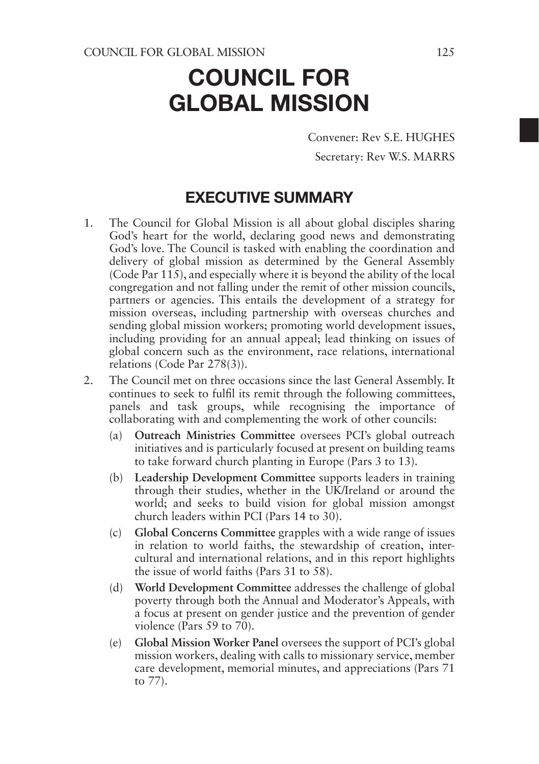Convener: Rev S.E. HUGHES Secretary: Rev W.S. MARRS

### EXECUTIVE SUMMARY

- 1. The Council for Global Mission is all about global disciples sharing God's heart for the world, declaring good news and demonstrating God's love. The Council is tasked with enabling the coordination and delivery of global mission as determined by the General Assembly (Code Par 115), and especially where it is beyond the ability of the local congregation and not falling under the remit of other mission councils, partners or agencies. This entails the development of a strategy for mission overseas, including partnership with overseas churches and sending global mission workers; promoting world development issues, including providing for an annual appeal; lead thinking on issues of global concern such as the environment, race relations, international relations (Code Par 278(3)).
- 2. The Council met on three occasions since the last General Assembly. It continues to seek to fulfil its remit through the following committees, panels and task groups, while recognising the importance of collaborating with and complementing the work of other councils:
	- (a) **Outreach Ministries Committee** oversees PCI's global outreach initiatives and is particularly focused at present on building teams to take forward church planting in Europe (Pars 3 to 13).
	- (b) **Leadership Development Committee** supports leaders in training through their studies, whether in the UK/Ireland or around the world; and seeks to build vision for global mission amongst church leaders within PCI (Pars 14 to 30).
	- (c) **Global Concerns Committee** grapples with a wide range of issues in relation to world faiths, the stewardship of creation, intercultural and international relations, and in this report highlights the issue of world faiths (Pars 31 to 58).
	- (d) **World Development Committee** addresses the challenge of global poverty through both the Annual and Moderator's Appeals, with a focus at present on gender justice and the prevention of gender violence (Pars 59 to 70).
	- (e) **Global Mission Worker Panel** oversees the support of PCI's global mission workers, dealing with calls to missionary service, member care development, memorial minutes, and appreciations (Pars 71 to 77).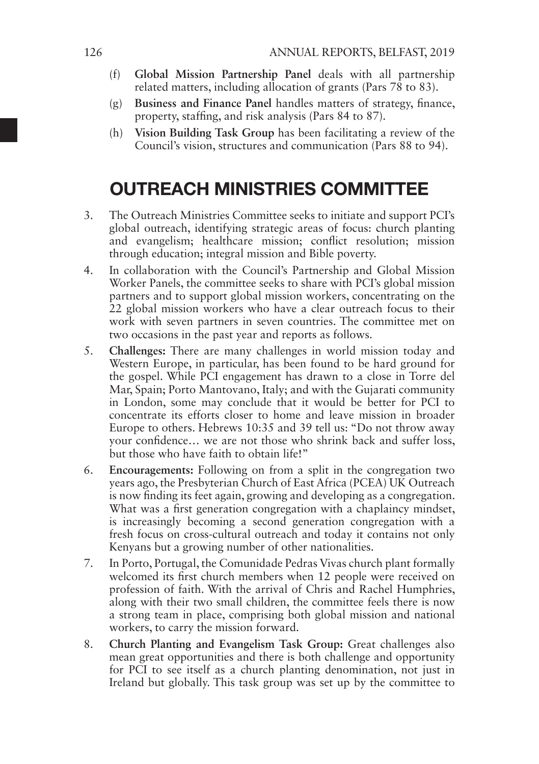- (f) **Global Mission Partnership Panel** deals with all partnership related matters, including allocation of grants (Pars  $7\overline{8}$  to 83).
- (g) **Business and Finance Panel** handles matters of strategy, finance, property, staffing, and risk analysis (Pars 84 to 87).
- (h) **Vision Building Task Group** has been facilitating a review of the Council's vision, structures and communication (Pars 88 to 94).

# OUTREACH MINISTRIES COMMITTEE

- 3. The Outreach Ministries Committee seeks to initiate and support PCI's global outreach, identifying strategic areas of focus: church planting and evangelism; healthcare mission; conflict resolution; mission through education; integral mission and Bible poverty.
- 4. In collaboration with the Council's Partnership and Global Mission Worker Panels, the committee seeks to share with PCI's global mission partners and to support global mission workers, concentrating on the 22 global mission workers who have a clear outreach focus to their work with seven partners in seven countries. The committee met on two occasions in the past year and reports as follows.
- 5. **Challenges:** There are many challenges in world mission today and Western Europe, in particular, has been found to be hard ground for the gospel. While PCI engagement has drawn to a close in Torre del Mar, Spain; Porto Mantovano, Italy; and with the Gujarati community in London, some may conclude that it would be better for PCI to concentrate its efforts closer to home and leave mission in broader Europe to others. Hebrews 10:35 and 39 tell us: "Do not throw away your confidence… we are not those who shrink back and suffer loss, but those who have faith to obtain life!"
- 6. **Encouragements:** Following on from a split in the congregation two years ago, the Presbyterian Church of East Africa (PCEA) UK Outreach is now finding its feet again, growing and developing as a congregation. What was a first generation congregation with a chaplaincy mindset, is increasingly becoming a second generation congregation with a fresh focus on cross-cultural outreach and today it contains not only Kenyans but a growing number of other nationalities.
- 7. In Porto, Portugal, the Comunidade Pedras Vivas church plant formally welcomed its first church members when 12 people were received on profession of faith. With the arrival of Chris and Rachel Humphries, along with their two small children, the committee feels there is now a strong team in place, comprising both global mission and national workers, to carry the mission forward.
- 8. **Church Planting and Evangelism Task Group:** Great challenges also mean great opportunities and there is both challenge and opportunity for PCI to see itself as a church planting denomination, not just in Ireland but globally. This task group was set up by the committee to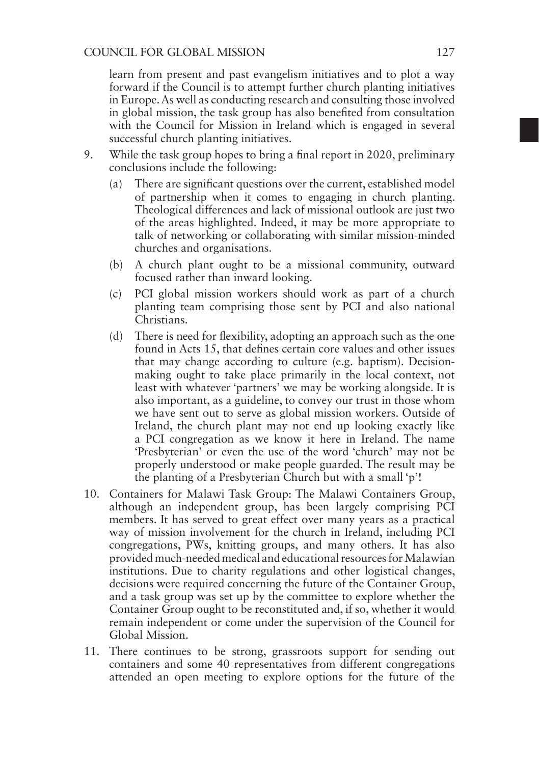learn from present and past evangelism initiatives and to plot a way forward if the Council is to attempt further church planting initiatives in Europe. As well as conducting research and consulting those involved in global mission, the task group has also benefited from consultation with the Council for Mission in Ireland which is engaged in several successful church planting initiatives.

- 9. While the task group hopes to bring a final report in 2020, preliminary conclusions include the following:
	- (a) There are significant questions over the current, established model of partnership when it comes to engaging in church planting. Theological differences and lack of missional outlook are just two of the areas highlighted. Indeed, it may be more appropriate to talk of networking or collaborating with similar mission-minded churches and organisations.
	- (b) A church plant ought to be a missional community, outward focused rather than inward looking.
	- (c) PCI global mission workers should work as part of a church planting team comprising those sent by PCI and also national Christians.
	- (d) There is need for flexibility, adopting an approach such as the one found in Acts 15, that defines certain core values and other issues that may change according to culture (e.g. baptism). Decisionmaking ought to take place primarily in the local context, not least with whatever 'partners' we may be working alongside. It is also important, as a guideline, to convey our trust in those whom we have sent out to serve as global mission workers. Outside of Ireland, the church plant may not end up looking exactly like a PCI congregation as we know it here in Ireland. The name 'Presbyterian' or even the use of the word 'church' may not be properly understood or make people guarded. The result may be the planting of a Presbyterian Church but with a small 'p'!
- 10. Containers for Malawi Task Group: The Malawi Containers Group, although an independent group, has been largely comprising PCI members. It has served to great effect over many years as a practical way of mission involvement for the church in Ireland, including PCI congregations, PWs, knitting groups, and many others. It has also provided much-needed medical and educational resources for Malawian institutions. Due to charity regulations and other logistical changes, decisions were required concerning the future of the Container Group, and a task group was set up by the committee to explore whether the Container Group ought to be reconstituted and, if so, whether it would remain independent or come under the supervision of the Council for Global Mission.
- 11. There continues to be strong, grassroots support for sending out containers and some 40 representatives from different congregations attended an open meeting to explore options for the future of the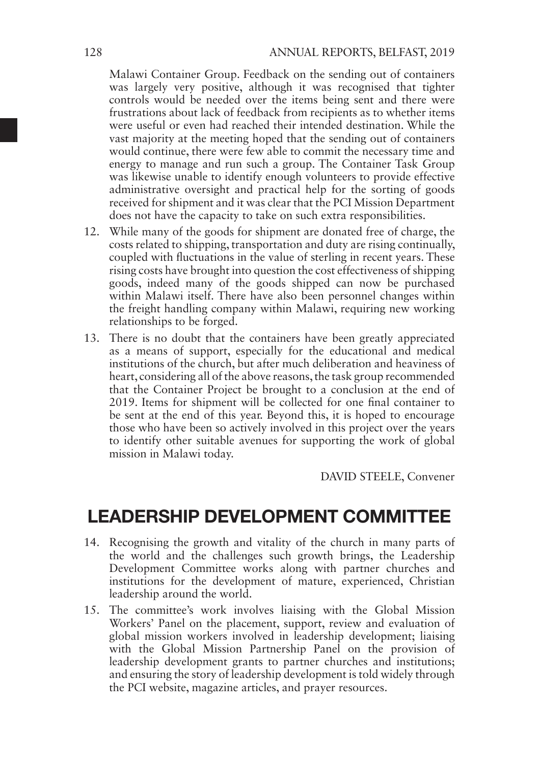Malawi Container Group. Feedback on the sending out of containers was largely very positive, although it was recognised that tighter controls would be needed over the items being sent and there were frustrations about lack of feedback from recipients as to whether items were useful or even had reached their intended destination. While the vast majority at the meeting hoped that the sending out of containers would continue, there were few able to commit the necessary time and energy to manage and run such a group. The Container Task Group was likewise unable to identify enough volunteers to provide effective administrative oversight and practical help for the sorting of goods received for shipment and it was clear that the PCI Mission Department does not have the capacity to take on such extra responsibilities.

- 12. While many of the goods for shipment are donated free of charge, the costs related to shipping, transportation and duty are rising continually, coupled with fluctuations in the value of sterling in recent years. These rising costs have brought into question the cost effectiveness of shipping goods, indeed many of the goods shipped can now be purchased within Malawi itself. There have also been personnel changes within the freight handling company within Malawi, requiring new working relationships to be forged.
- 13. There is no doubt that the containers have been greatly appreciated as a means of support, especially for the educational and medical institutions of the church, but after much deliberation and heaviness of heart, considering all of the above reasons, the task group recommended that the Container Project be brought to a conclusion at the end of 2019. Items for shipment will be collected for one final container to be sent at the end of this year. Beyond this, it is hoped to encourage those who have been so actively involved in this project over the years to identify other suitable avenues for supporting the work of global mission in Malawi today.

DAVID STEELE, Convener

### LEADERSHIP DEVELOPMENT COMMITTEE

- 14. Recognising the growth and vitality of the church in many parts of the world and the challenges such growth brings, the Leadership Development Committee works along with partner churches and institutions for the development of mature, experienced, Christian leadership around the world.
- 15. The committee's work involves liaising with the Global Mission Workers' Panel on the placement, support, review and evaluation of global mission workers involved in leadership development; liaising with the Global Mission Partnership Panel on the provision of leadership development grants to partner churches and institutions; and ensuring the story of leadership development is told widely through the PCI website, magazine articles, and prayer resources.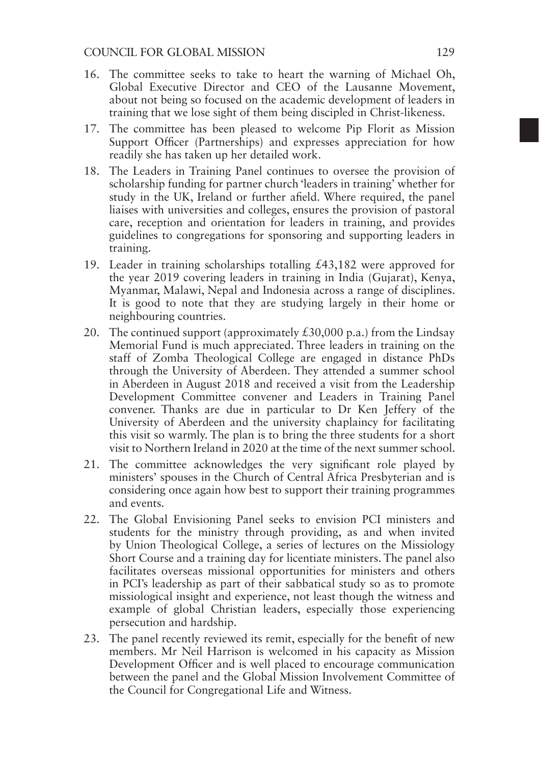- 16. The committee seeks to take to heart the warning of Michael Oh, Global Executive Director and CEO of the Lausanne Movement, about not being so focused on the academic development of leaders in training that we lose sight of them being discipled in Christ-likeness.
- 17. The committee has been pleased to welcome Pip Florit as Mission Support Officer (Partnerships) and expresses appreciation for how readily she has taken up her detailed work.
- 18. The Leaders in Training Panel continues to oversee the provision of scholarship funding for partner church 'leaders in training' whether for study in the UK, Ireland or further afield. Where required, the panel liaises with universities and colleges, ensures the provision of pastoral care, reception and orientation for leaders in training, and provides guidelines to congregations for sponsoring and supporting leaders in training.
- 19. Leader in training scholarships totalling £43,182 were approved for the year 2019 covering leaders in training in India (Gujarat), Kenya, Myanmar, Malawi, Nepal and Indonesia across a range of disciplines. It is good to note that they are studying largely in their home or neighbouring countries.
- 20. The continued support (approximately  $\text{\pounds}30,000$  p.a.) from the Lindsay Memorial Fund is much appreciated. Three leaders in training on the staff of Zomba Theological College are engaged in distance PhDs through the University of Aberdeen. They attended a summer school in Aberdeen in August 2018 and received a visit from the Leadership Development Committee convener and Leaders in Training Panel convener. Thanks are due in particular to Dr Ken Jeffery of the University of Aberdeen and the university chaplaincy for facilitating this visit so warmly. The plan is to bring the three students for a short visit to Northern Ireland in 2020 at the time of the next summer school.
- 21. The committee acknowledges the very significant role played by ministers' spouses in the Church of Central Africa Presbyterian and is considering once again how best to support their training programmes and events.
- 22. The Global Envisioning Panel seeks to envision PCI ministers and students for the ministry through providing, as and when invited by Union Theological College, a series of lectures on the Missiology Short Course and a training day for licentiate ministers. The panel also facilitates overseas missional opportunities for ministers and others in PCI's leadership as part of their sabbatical study so as to promote missiological insight and experience, not least though the witness and example of global Christian leaders, especially those experiencing persecution and hardship.
- 23. The panel recently reviewed its remit, especially for the benefit of new members. Mr Neil Harrison is welcomed in his capacity as Mission Development Officer and is well placed to encourage communication between the panel and the Global Mission Involvement Committee of the Council for Congregational Life and Witness.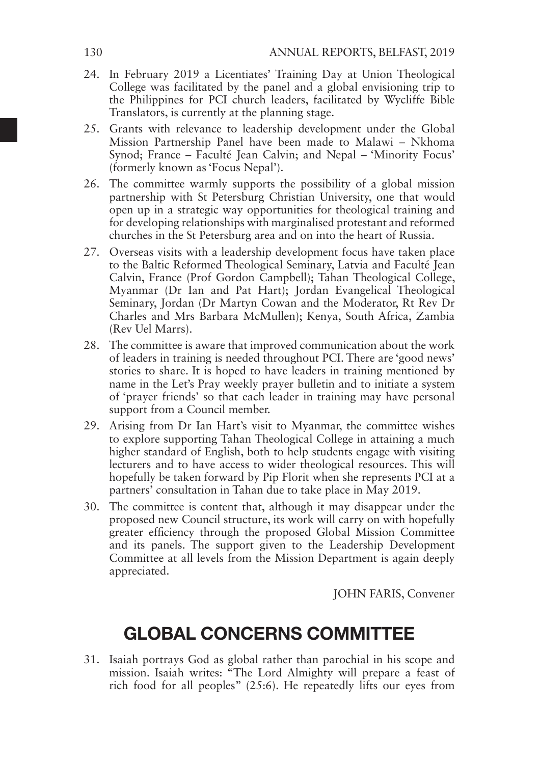- 24. In February 2019 a Licentiates' Training Day at Union Theological College was facilitated by the panel and a global envisioning trip to the Philippines for PCI church leaders, facilitated by Wycliffe Bible Translators, is currently at the planning stage.
- 25. Grants with relevance to leadership development under the Global Mission Partnership Panel have been made to Malawi – Nkhoma Synod; France – Faculté Jean Calvin; and Nepal – 'Minority Focus' (formerly known as 'Focus Nepal').
- 26. The committee warmly supports the possibility of a global mission partnership with St Petersburg Christian University, one that would open up in a strategic way opportunities for theological training and for developing relationships with marginalised protestant and reformed churches in the St Petersburg area and on into the heart of Russia.
- 27. Overseas visits with a leadership development focus have taken place to the Baltic Reformed Theological Seminary, Latvia and Faculté Jean Calvin, France (Prof Gordon Campbell); Tahan Theological College, Myanmar (Dr Ian and Pat Hart); Jordan Evangelical Theological Seminary, Jordan (Dr Martyn Cowan and the Moderator, Rt Rev Dr Charles and Mrs Barbara McMullen); Kenya, South Africa, Zambia (Rev Uel Marrs).
- 28. The committee is aware that improved communication about the work of leaders in training is needed throughout PCI. There are 'good news' stories to share. It is hoped to have leaders in training mentioned by name in the Let's Pray weekly prayer bulletin and to initiate a system of 'prayer friends' so that each leader in training may have personal support from a Council member.
- 29. Arising from Dr Ian Hart's visit to Myanmar, the committee wishes to explore supporting Tahan Theological College in attaining a much higher standard of English, both to help students engage with visiting lecturers and to have access to wider theological resources. This will hopefully be taken forward by Pip Florit when she represents PCI at a partners' consultation in Tahan due to take place in May 2019.
- 30. The committee is content that, although it may disappear under the proposed new Council structure, its work will carry on with hopefully greater efficiency through the proposed Global Mission Committee and its panels. The support given to the Leadership Development Committee at all levels from the Mission Department is again deeply appreciated.

JOHN FARIS, Convener

# GLOBAL CONCERNS COMMITTEE

31. Isaiah portrays God as global rather than parochial in his scope and mission. Isaiah writes: "The Lord Almighty will prepare a feast of rich food for all peoples" (25:6). He repeatedly lifts our eyes from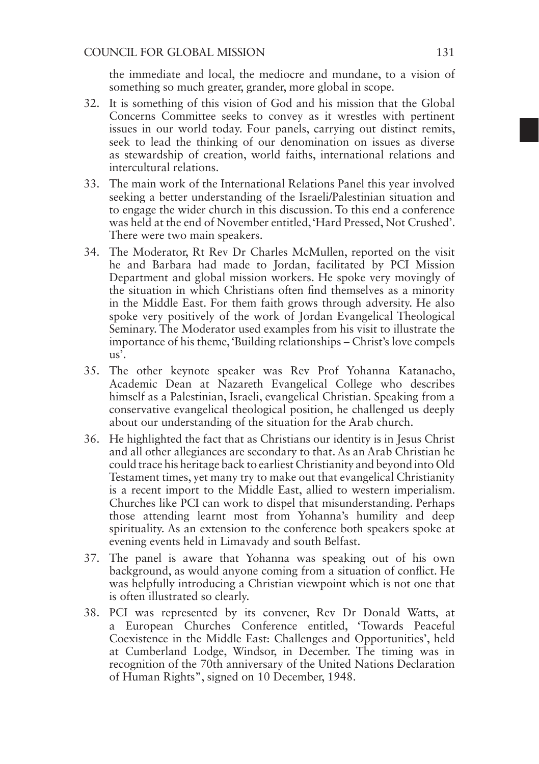the immediate and local, the mediocre and mundane, to a vision of something so much greater, grander, more global in scope.

- 32. It is something of this vision of God and his mission that the Global Concerns Committee seeks to convey as it wrestles with pertinent issues in our world today. Four panels, carrying out distinct remits, seek to lead the thinking of our denomination on issues as diverse as stewardship of creation, world faiths, international relations and intercultural relations.
- 33. The main work of the International Relations Panel this year involved seeking a better understanding of the Israeli/Palestinian situation and to engage the wider church in this discussion. To this end a conference was held at the end of November entitled, 'Hard Pressed, Not Crushed'. There were two main speakers.
- 34. The Moderator, Rt Rev Dr Charles McMullen, reported on the visit he and Barbara had made to Jordan, facilitated by PCI Mission Department and global mission workers. He spoke very movingly of the situation in which Christians often find themselves as a minority in the Middle East. For them faith grows through adversity. He also spoke very positively of the work of Jordan Evangelical Theological Seminary. The Moderator used examples from his visit to illustrate the importance of his theme, 'Building relationships – Christ's love compels  $us$ <sup>'</sup>.
- 35. The other keynote speaker was Rev Prof Yohanna Katanacho, Academic Dean at Nazareth Evangelical College who describes himself as a Palestinian, Israeli, evangelical Christian. Speaking from a conservative evangelical theological position, he challenged us deeply about our understanding of the situation for the Arab church.
- 36. He highlighted the fact that as Christians our identity is in Jesus Christ and all other allegiances are secondary to that. As an Arab Christian he could trace his heritage back to earliest Christianity and beyond into Old Testament times, yet many try to make out that evangelical Christianity is a recent import to the Middle East, allied to western imperialism. Churches like PCI can work to dispel that misunderstanding. Perhaps those attending learnt most from Yohanna's humility and deep spirituality. As an extension to the conference both speakers spoke at evening events held in Limavady and south Belfast.
- 37. The panel is aware that Yohanna was speaking out of his own background, as would anyone coming from a situation of conflict. He was helpfully introducing a Christian viewpoint which is not one that is often illustrated so clearly.
- 38. PCI was represented by its convener, Rev Dr Donald Watts, at a European Churches Conference entitled, 'Towards Peaceful Coexistence in the Middle East: Challenges and Opportunities', held at Cumberland Lodge, Windsor, in December. The timing was in recognition of the 70th anniversary of the United Nations Declaration of Human Rights", signed on 10 December, 1948.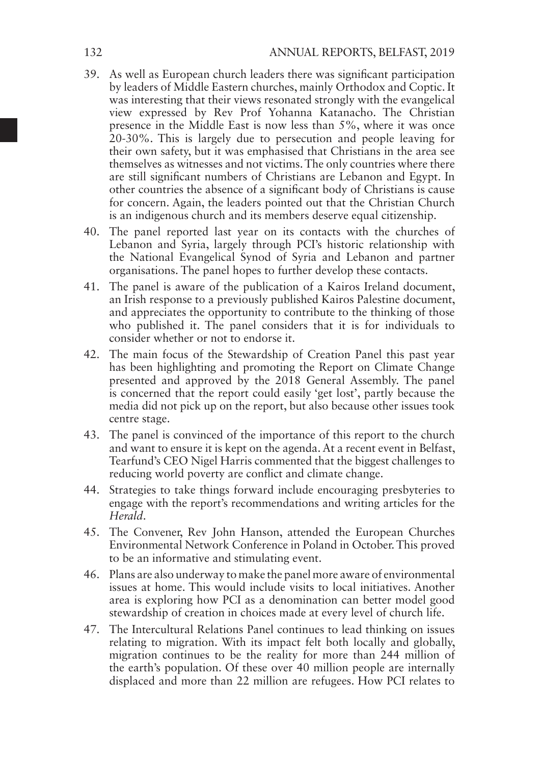- 39. As well as European church leaders there was significant participation by leaders of Middle Eastern churches, mainly Orthodox and Coptic. It was interesting that their views resonated strongly with the evangelical view expressed by Rev Prof Yohanna Katanacho. The Christian presence in the Middle East is now less than 5%, where it was once 20-30%. This is largely due to persecution and people leaving for their own safety, but it was emphasised that Christians in the area see themselves as witnesses and not victims. The only countries where there are still significant numbers of Christians are Lebanon and Egypt. In other countries the absence of a significant body of Christians is cause for concern. Again, the leaders pointed out that the Christian Church is an indigenous church and its members deserve equal citizenship.
- 40. The panel reported last year on its contacts with the churches of Lebanon and Syria, largely through PCI's historic relationship with the National Evangelical Synod of Syria and Lebanon and partner organisations. The panel hopes to further develop these contacts.
- 41. The panel is aware of the publication of a Kairos Ireland document, an Irish response to a previously published Kairos Palestine document, and appreciates the opportunity to contribute to the thinking of those who published it. The panel considers that it is for individuals to consider whether or not to endorse it.
- 42. The main focus of the Stewardship of Creation Panel this past year has been highlighting and promoting the Report on Climate Change presented and approved by the 2018 General Assembly. The panel is concerned that the report could easily 'get lost', partly because the media did not pick up on the report, but also because other issues took centre stage.
- 43. The panel is convinced of the importance of this report to the church and want to ensure it is kept on the agenda. At a recent event in Belfast, Tearfund's CEO Nigel Harris commented that the biggest challenges to reducing world poverty are conflict and climate change.
- 44. Strategies to take things forward include encouraging presbyteries to engage with the report's recommendations and writing articles for the *Herald*.
- 45. The Convener, Rev John Hanson, attended the European Churches Environmental Network Conference in Poland in October. This proved to be an informative and stimulating event.
- 46. Plans are also underway to make the panel more aware of environmental issues at home. This would include visits to local initiatives. Another area is exploring how PCI as a denomination can better model good stewardship of creation in choices made at every level of church life.
- 47. The Intercultural Relations Panel continues to lead thinking on issues relating to migration. With its impact felt both locally and globally, migration continues to be the reality for more than 244 million of the earth's population. Of these over 40 million people are internally displaced and more than 22 million are refugees. How PCI relates to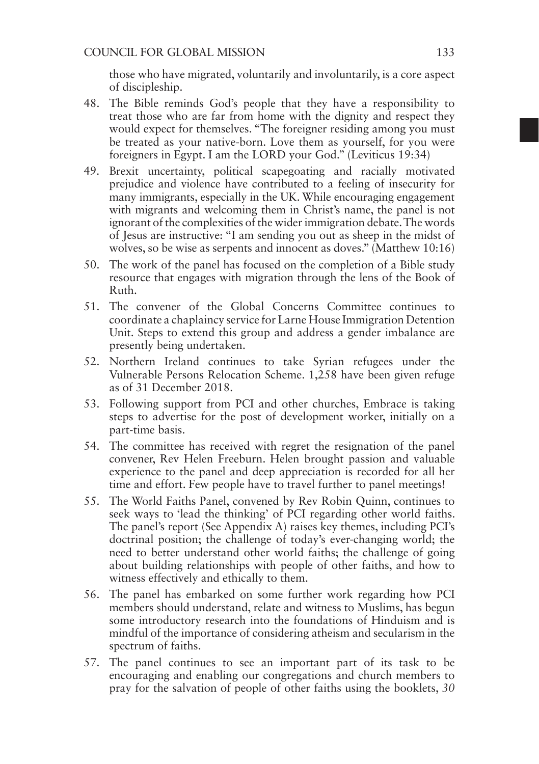those who have migrated, voluntarily and involuntarily, is a core aspect of discipleship.

- 48. The Bible reminds God's people that they have a responsibility to treat those who are far from home with the dignity and respect they would expect for themselves. "The foreigner residing among you must be treated as your native-born. Love them as yourself, for you were foreigners in Egypt. I am the LORD your God." (Leviticus 19:34)
- 49. Brexit uncertainty, political scapegoating and racially motivated prejudice and violence have contributed to a feeling of insecurity for many immigrants, especially in the UK. While encouraging engagement with migrants and welcoming them in Christ's name, the panel is not ignorant of the complexities of the wider immigration debate. The words of Jesus are instructive: "I am sending you out as sheep in the midst of wolves, so be wise as serpents and innocent as doves." (Matthew 10:16)
- 50. The work of the panel has focused on the completion of a Bible study resource that engages with migration through the lens of the Book of Ruth.
- 51. The convener of the Global Concerns Committee continues to coordinate a chaplaincy service for Larne House Immigration Detention Unit. Steps to extend this group and address a gender imbalance are presently being undertaken.
- 52. Northern Ireland continues to take Syrian refugees under the Vulnerable Persons Relocation Scheme. 1,258 have been given refuge as of 31 December 2018.
- 53. Following support from PCI and other churches, Embrace is taking steps to advertise for the post of development worker, initially on a part-time basis.
- 54. The committee has received with regret the resignation of the panel convener, Rev Helen Freeburn. Helen brought passion and valuable experience to the panel and deep appreciation is recorded for all her time and effort. Few people have to travel further to panel meetings!
- 55. The World Faiths Panel, convened by Rev Robin Quinn, continues to seek ways to 'lead the thinking' of PCI regarding other world faiths. The panel's report (See Appendix A) raises key themes, including PCI's doctrinal position; the challenge of today's ever-changing world; the need to better understand other world faiths; the challenge of going about building relationships with people of other faiths, and how to witness effectively and ethically to them.
- 56. The panel has embarked on some further work regarding how PCI members should understand, relate and witness to Muslims, has begun some introductory research into the foundations of Hinduism and is mindful of the importance of considering atheism and secularism in the spectrum of faiths.
- 57. The panel continues to see an important part of its task to be encouraging and enabling our congregations and church members to pray for the salvation of people of other faiths using the booklets, *30*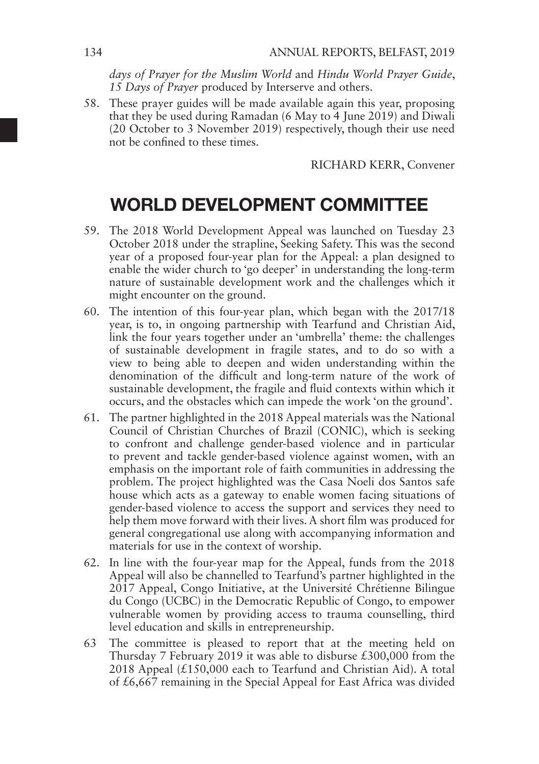*days of Prayer for the Muslim World* and *Hindu World Prayer Guide*, *15 Days of Prayer* produced by Interserve and others.

58. These prayer guides will be made available again this year, proposing that they be used during Ramadan (6 May to 4 June 2019) and Diwali (20 October to 3 November 2019) respectively, though their use need not be confined to these times.

RICHARD KERR, Convener

# WORLD DEVELOPMENT COMMITTEE

- 59. The 2018 World Development Appeal was launched on Tuesday 23 October 2018 under the strapline, Seeking Safety. This was the second year of a proposed four-year plan for the Appeal: a plan designed to enable the wider church to 'go deeper' in understanding the long-term nature of sustainable development work and the challenges which it might encounter on the ground.
- 60. The intention of this four-year plan, which began with the 2017/18 year, is to, in ongoing partnership with Tearfund and Christian Aid, link the four years together under an 'umbrella' theme: the challenges of sustainable development in fragile states, and to do so with a view to being able to deepen and widen understanding within the denomination of the difficult and long-term nature of the work of sustainable development, the fragile and fluid contexts within which it occurs, and the obstacles which can impede the work 'on the ground'.
- 61. The partner highlighted in the 2018 Appeal materials was the National Council of Christian Churches of Brazil (CONIC), which is seeking to confront and challenge gender-based violence and in particular to prevent and tackle gender-based violence against women, with an emphasis on the important role of faith communities in addressing the problem. The project highlighted was the Casa Noeli dos Santos safe house which acts as a gateway to enable women facing situations of gender-based violence to access the support and services they need to help them move forward with their lives. A short film was produced for general congregational use along with accompanying information and materials for use in the context of worship.
- 62. In line with the four-year map for the Appeal, funds from the 2018 Appeal will also be channelled to Tearfund's partner highlighted in the 2017 Appeal, Congo Initiative, at the Université Chrétienne Bilingue du Congo (UCBC) in the Democratic Republic of Congo, to empower vulnerable women by providing access to trauma counselling, third level education and skills in entrepreneurship.
- 63 The committee is pleased to report that at the meeting held on Thursday 7 February 2019 it was able to disburse £300,000 from the 2018 Appeal  $(£150,000$  each to Tearfund and Christian Aid). A total of £6,667 remaining in the Special Appeal for East Africa was divided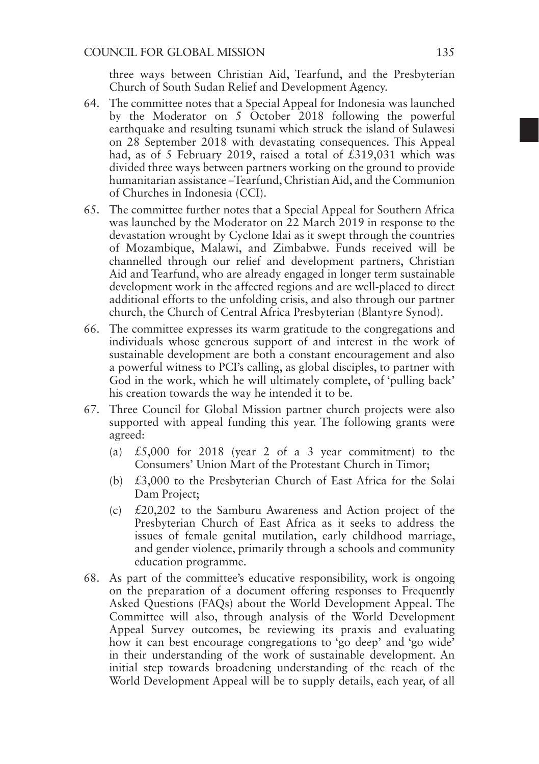three ways between Christian Aid, Tearfund, and the Presbyterian Church of South Sudan Relief and Development Agency.

- 64. The committee notes that a Special Appeal for Indonesia was launched by the Moderator on 5 October 2018 following the powerful earthquake and resulting tsunami which struck the island of Sulawesi on 28 September 2018 with devastating consequences. This Appeal had, as of 5 February 2019, raised a total of  $\hat{\ell}$ 319,031 which was divided three ways between partners working on the ground to provide humanitarian assistance –Tearfund, Christian Aid, and the Communion of Churches in Indonesia (CCI).
- 65. The committee further notes that a Special Appeal for Southern Africa was launched by the Moderator on 22 March 2019 in response to the devastation wrought by Cyclone Idai as it swept through the countries of Mozambique, Malawi, and Zimbabwe. Funds received will be channelled through our relief and development partners, Christian Aid and Tearfund, who are already engaged in longer term sustainable development work in the affected regions and are well-placed to direct additional efforts to the unfolding crisis, and also through our partner church, the Church of Central Africa Presbyterian (Blantyre Synod).
- 66. The committee expresses its warm gratitude to the congregations and individuals whose generous support of and interest in the work of sustainable development are both a constant encouragement and also a powerful witness to PCI's calling, as global disciples, to partner with God in the work, which he will ultimately complete, of 'pulling back' his creation towards the way he intended it to be.
- 67. Three Council for Global Mission partner church projects were also supported with appeal funding this year. The following grants were agreed:
	- (a)  $£5,000$  for 2018 (year 2 of a 3 year commitment) to the Consumers' Union Mart of the Protestant Church in Timor;
	- (b) £3,000 to the Presbyterian Church of East Africa for the Solai Dam Project;
	- (c) £20,202 to the Samburu Awareness and Action project of the Presbyterian Church of East Africa as it seeks to address the issues of female genital mutilation, early childhood marriage, and gender violence, primarily through a schools and community education programme.
- 68. As part of the committee's educative responsibility, work is ongoing on the preparation of a document offering responses to Frequently Asked Questions (FAQs) about the World Development Appeal. The Committee will also, through analysis of the World Development Appeal Survey outcomes, be reviewing its praxis and evaluating how it can best encourage congregations to 'go deep' and 'go wide' in their understanding of the work of sustainable development. An initial step towards broadening understanding of the reach of the World Development Appeal will be to supply details, each year, of all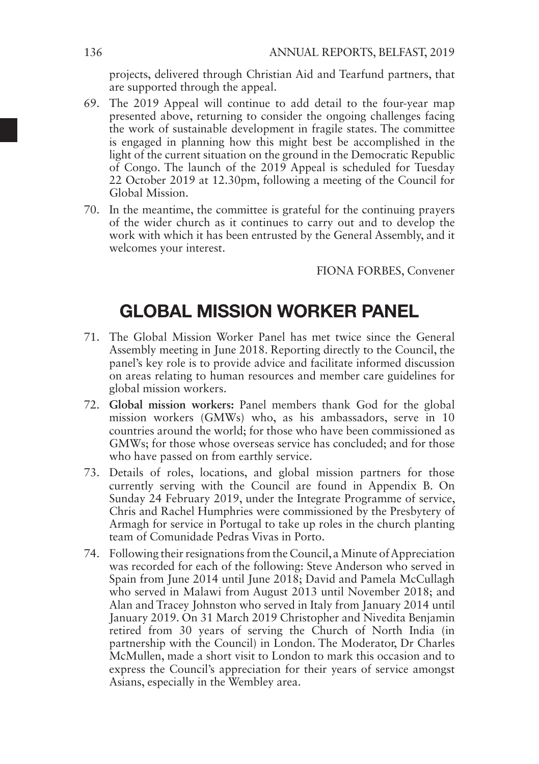projects, delivered through Christian Aid and Tearfund partners, that are supported through the appeal.

- 69. The 2019 Appeal will continue to add detail to the four-year map presented above, returning to consider the ongoing challenges facing the work of sustainable development in fragile states. The committee is engaged in planning how this might best be accomplished in the light of the current situation on the ground in the Democratic Republic of Congo. The launch of the 2019 Appeal is scheduled for Tuesday 22 October 2019 at 12.30pm, following a meeting of the Council for Global Mission.
- 70. In the meantime, the committee is grateful for the continuing prayers of the wider church as it continues to carry out and to develop the work with which it has been entrusted by the General Assembly, and it welcomes your interest.

FIONA FORBES, Convener

### GLOBAL MISSION WORKER PANEL

- 71. The Global Mission Worker Panel has met twice since the General Assembly meeting in June 2018. Reporting directly to the Council, the panel's key role is to provide advice and facilitate informed discussion on areas relating to human resources and member care guidelines for global mission workers.
- 72. **Global mission workers:** Panel members thank God for the global mission workers (GMWs) who, as his ambassadors, serve in 10 countries around the world; for those who have been commissioned as GMWs; for those whose overseas service has concluded; and for those who have passed on from earthly service.
- 73. Details of roles, locations, and global mission partners for those currently serving with the Council are found in Appendix B. On Sunday 24 February 2019, under the Integrate Programme of service, Chris and Rachel Humphries were commissioned by the Presbytery of Armagh for service in Portugal to take up roles in the church planting team of Comunidade Pedras Vivas in Porto.
- 74. Following their resignations from the Council, a Minute of Appreciation was recorded for each of the following: Steve Anderson who served in Spain from June 2014 until June 2018; David and Pamela McCullagh who served in Malawi from August 2013 until November 2018; and Alan and Tracey Johnston who served in Italy from January 2014 until January 2019. On 31 March 2019 Christopher and Nivedita Benjamin retired from 30 years of serving the Church of North India (in partnership with the Council) in London. The Moderator, Dr Charles McMullen, made a short visit to London to mark this occasion and to express the Council's appreciation for their years of service amongst Asians, especially in the Wembley area.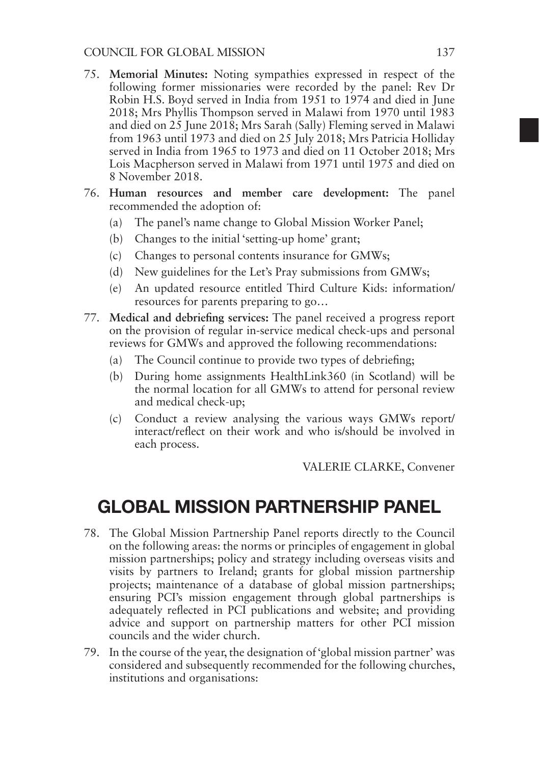- 75. **Memorial Minutes:** Noting sympathies expressed in respect of the following former missionaries were recorded by the panel: Rev Dr Robin H.S. Boyd served in India from 1951 to 1974 and died in June 2018; Mrs Phyllis Thompson served in Malawi from 1970 until 1983 and died on 25 June 2018; Mrs Sarah (Sally) Fleming served in Malawi from 1963 until 1973 and died on 25 July 2018; Mrs Patricia Holliday served in India from 1965 to 1973 and died on 11 October 2018; Mrs Lois Macpherson served in Malawi from 1971 until 1975 and died on 8 November 2018.
- 76. **Human resources and member care development:** The panel recommended the adoption of:
	- (a) The panel's name change to Global Mission Worker Panel;
	- (b) Changes to the initial 'setting-up home' grant;
	- (c) Changes to personal contents insurance for GMWs;
	- (d) New guidelines for the Let's Pray submissions from GMWs;
	- (e) An updated resource entitled Third Culture Kids: information/ resources for parents preparing to go…
- 77. **Medical and debriefing services:** The panel received a progress report on the provision of regular in-service medical check-ups and personal reviews for GMWs and approved the following recommendations:
	- (a) The Council continue to provide two types of debriefing;
	- (b) During home assignments HealthLink360 (in Scotland) will be the normal location for all GMWs to attend for personal review and medical check-up;
	- (c) Conduct a review analysing the various ways GMWs report/ interact/reflect on their work and who is/should be involved in each process.

VALERIE CLARKE, Convener

# GLOBAL MISSION PARTNERSHIP PANEL

- 78. The Global Mission Partnership Panel reports directly to the Council on the following areas: the norms or principles of engagement in global mission partnerships; policy and strategy including overseas visits and visits by partners to Ireland; grants for global mission partnership projects; maintenance of a database of global mission partnerships; ensuring PCI's mission engagement through global partnerships is adequately reflected in PCI publications and website; and providing advice and support on partnership matters for other PCI mission councils and the wider church.
- 79. In the course of the year, the designation of 'global mission partner' was considered and subsequently recommended for the following churches, institutions and organisations: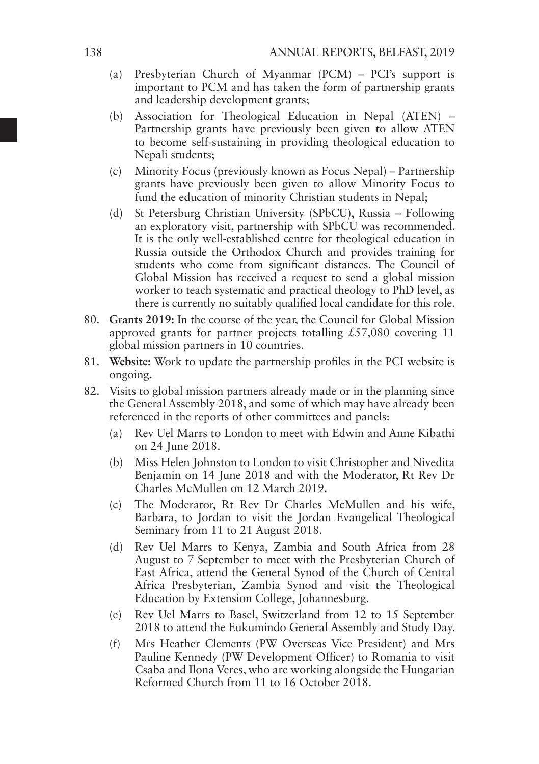- (a) Presbyterian Church of Myanmar (PCM) PCI's support is important to PCM and has taken the form of partnership grants and leadership development grants;
- (b) Association for Theological Education in Nepal (ATEN) Partnership grants have previously been given to allow ATEN to become self-sustaining in providing theological education to Nepali students;
- (c) Minority Focus (previously known as Focus Nepal) Partnership grants have previously been given to allow Minority Focus to fund the education of minority Christian students in Nepal;
- (d) St Petersburg Christian University (SPbCU), Russia Following an exploratory visit, partnership with SPbCU was recommended. It is the only well-established centre for theological education in Russia outside the Orthodox Church and provides training for students who come from significant distances. The Council of Global Mission has received a request to send a global mission worker to teach systematic and practical theology to PhD level, as there is currently no suitably qualified local candidate for this role.
- 80. **Grants 2019:** In the course of the year, the Council for Global Mission approved grants for partner projects totalling £57,080 covering 11 global mission partners in 10 countries.
- 81. **Website:** Work to update the partnership profiles in the PCI website is ongoing.
- 82. Visits to global mission partners already made or in the planning since the General Assembly 2018, and some of which may have already been referenced in the reports of other committees and panels:
	- (a) Rev Uel Marrs to London to meet with Edwin and Anne Kibathi on 24 June 2018.
	- (b) Miss Helen Johnston to London to visit Christopher and Nivedita Benjamin on 14 June 2018 and with the Moderator, Rt Rev Dr Charles McMullen on 12 March 2019.
	- (c) The Moderator, Rt Rev Dr Charles McMullen and his wife, Barbara, to Jordan to visit the Jordan Evangelical Theological Seminary from 11 to 21 August 2018.
	- (d) Rev Uel Marrs to Kenya, Zambia and South Africa from 28 August to 7 September to meet with the Presbyterian Church of East Africa, attend the General Synod of the Church of Central Africa Presbyterian, Zambia Synod and visit the Theological Education by Extension College, Johannesburg.
	- (e) Rev Uel Marrs to Basel, Switzerland from 12 to 15 September 2018 to attend the Eukumindo General Assembly and Study Day.
	- (f) Mrs Heather Clements (PW Overseas Vice President) and Mrs Pauline Kennedy (PW Development Officer) to Romania to visit Csaba and Ilona Veres, who are working alongside the Hungarian Reformed Church from 11 to 16 October 2018.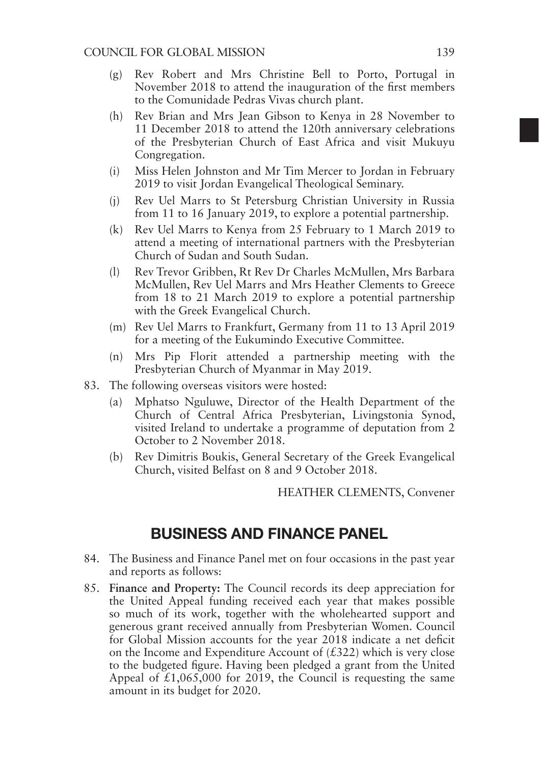- (g) Rev Robert and Mrs Christine Bell to Porto, Portugal in November 2018 to attend the inauguration of the first members to the Comunidade Pedras Vivas church plant.
- (h) Rev Brian and Mrs Jean Gibson to Kenya in 28 November to 11 December 2018 to attend the 120th anniversary celebrations of the Presbyterian Church of East Africa and visit Mukuyu Congregation.
- (i) Miss Helen Johnston and Mr Tim Mercer to Jordan in February 2019 to visit Jordan Evangelical Theological Seminary.
- (j) Rev Uel Marrs to St Petersburg Christian University in Russia from 11 to 16 January 2019, to explore a potential partnership.
- (k) Rev Uel Marrs to Kenya from 25 February to 1 March 2019 to attend a meeting of international partners with the Presbyterian Church of Sudan and South Sudan.
- (l) Rev Trevor Gribben, Rt Rev Dr Charles McMullen, Mrs Barbara McMullen, Rev Uel Marrs and Mrs Heather Clements to Greece from 18 to 21 March 2019 to explore a potential partnership with the Greek Evangelical Church.
- (m) Rev Uel Marrs to Frankfurt, Germany from 11 to 13 April 2019 for a meeting of the Eukumindo Executive Committee.
- (n) Mrs Pip Florit attended a partnership meeting with the Presbyterian Church of Myanmar in May 2019.
- 83. The following overseas visitors were hosted:
	- (a) Mphatso Nguluwe, Director of the Health Department of the Church of Central Africa Presbyterian, Livingstonia Synod, visited Ireland to undertake a programme of deputation from 2 October to 2 November 2018.
	- (b) Rev Dimitris Boukis, General Secretary of the Greek Evangelical Church, visited Belfast on 8 and 9 October 2018.

HEATHER CLEMENTS, Convener

### BUSINESS AND FINANCE PANEL

- 84. The Business and Finance Panel met on four occasions in the past year and reports as follows:
- 85. **Finance and Property:** The Council records its deep appreciation for the United Appeal funding received each year that makes possible so much of its work, together with the wholehearted support and generous grant received annually from Presbyterian Women. Council for Global Mission accounts for the year 2018 indicate a net deficit on the Income and Expenditure Account of  $(£322)$  which is very close to the budgeted figure. Having been pledged a grant from the United Appeal of  $\text{\pounds}1,065,000$  for 2019, the Council is requesting the same amount in its budget for 2020.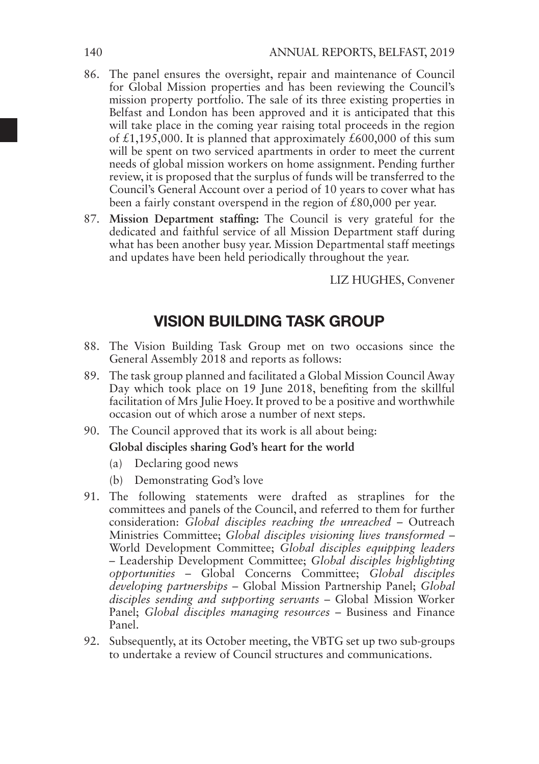- 86. The panel ensures the oversight, repair and maintenance of Council for Global Mission properties and has been reviewing the Council's mission property portfolio. The sale of its three existing properties in Belfast and London has been approved and it is anticipated that this will take place in the coming year raising total proceeds in the region of £1,195,000. It is planned that approximately £600,000 of this sum will be spent on two serviced apartments in order to meet the current needs of global mission workers on home assignment. Pending further review, it is proposed that the surplus of funds will be transferred to the Council's General Account over a period of 10 years to cover what has been a fairly constant overspend in the region of £80,000 per year.
- 87. **Mission Department staffing:** The Council is very grateful for the dedicated and faithful service of all Mission Department staff during what has been another busy year. Mission Departmental staff meetings and updates have been held periodically throughout the year.

LIZ HUGHES, Convener

### VISION BUILDING TASK GROUP

- 88. The Vision Building Task Group met on two occasions since the General Assembly 2018 and reports as follows:
- 89. The task group planned and facilitated a Global Mission Council Away Day which took place on 19 June 2018, benefiting from the skillful facilitation of Mrs Julie Hoey. It proved to be a positive and worthwhile occasion out of which arose a number of next steps.
- 90. The Council approved that its work is all about being:

#### **Global disciples sharing God's heart for the world**

- (a) Declaring good news
- (b) Demonstrating God's love
- 91. The following statements were drafted as straplines for the committees and panels of the Council, and referred to them for further consideration: *Global disciples reaching the unreached* – Outreach Ministries Committee; *Global disciples visioning lives transformed* – World Development Committee; *Global disciples equipping leaders* – Leadership Development Committee; *Global disciples highlighting opportunities* – Global Concerns Committee; *Global disciples developing partnerships* – Global Mission Partnership Panel; *Global disciples sending and supporting servants* – Global Mission Worker Panel; *Global disciples managing resources* – Business and Finance Panel.
- 92. Subsequently, at its October meeting, the VBTG set up two sub-groups to undertake a review of Council structures and communications.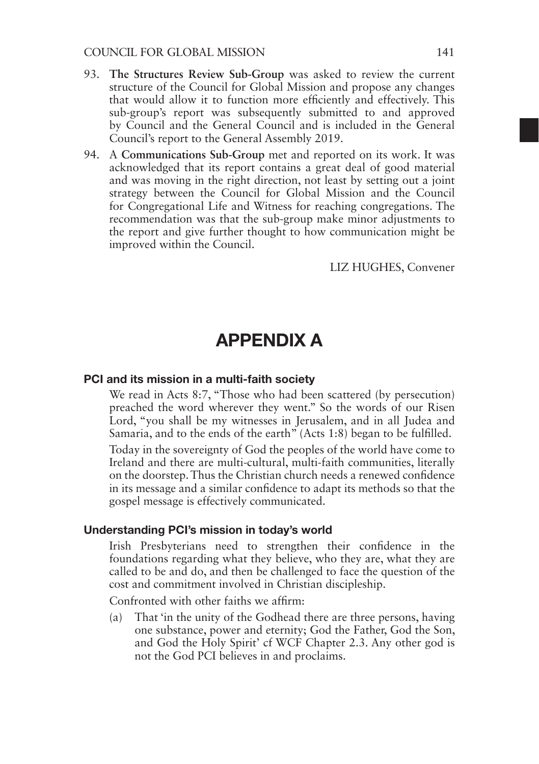- 93. **The Structures Review Sub-Group** was asked to review the current structure of the Council for Global Mission and propose any changes that would allow it to function more efficiently and effectively. This sub-group's report was subsequently submitted to and approved by Council and the General Council and is included in the General Council's report to the General Assembly 2019.
- 94. A **Communications Sub-Group** met and reported on its work. It was acknowledged that its report contains a great deal of good material and was moving in the right direction, not least by setting out a joint strategy between the Council for Global Mission and the Council for Congregational Life and Witness for reaching congregations. The recommendation was that the sub-group make minor adjustments to the report and give further thought to how communication might be improved within the Council.

#### LIZ HUGHES, Convener

### APPENDIX A

#### PCI and its mission in a multi-faith society

We read in Acts 8:7, "Those who had been scattered (by persecution) preached the word wherever they went." So the words of our Risen Lord, "you shall be my witnesses in Jerusalem, and in all Judea and Samaria, and to the ends of the earth" (Acts 1:8) began to be fulfilled.

Today in the sovereignty of God the peoples of the world have come to Ireland and there are multi-cultural, multi-faith communities, literally on the doorstep. Thus the Christian church needs a renewed confidence in its message and a similar confidence to adapt its methods so that the gospel message is effectively communicated.

#### Understanding PCI's mission in today's world

Irish Presbyterians need to strengthen their confidence in the foundations regarding what they believe, who they are, what they are called to be and do, and then be challenged to face the question of the cost and commitment involved in Christian discipleship.

Confronted with other faiths we affirm:

(a) That 'in the unity of the Godhead there are three persons, having one substance, power and eternity; God the Father, God the Son, and God the Holy Spirit' cf WCF Chapter 2.3. Any other god is not the God PCI believes in and proclaims.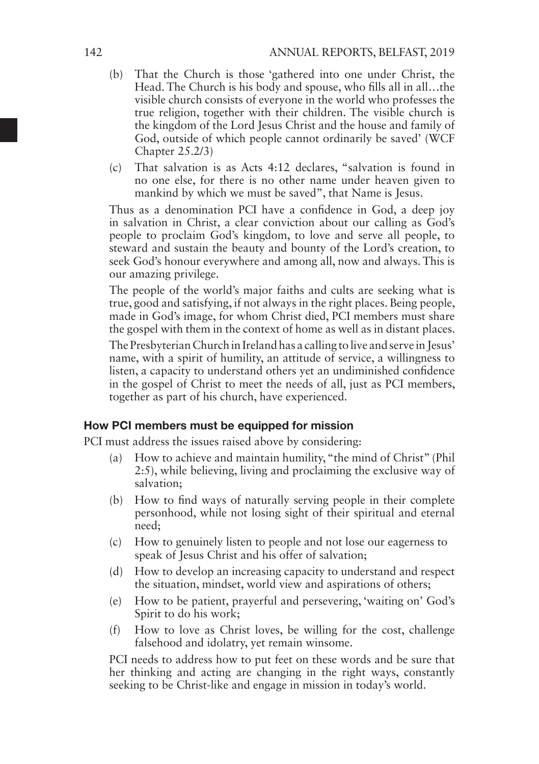- (b) That the Church is those 'gathered into one under Christ, the Head. The Church is his body and spouse, who fills all in all…the visible church consists of everyone in the world who professes the true religion, together with their children. The visible church is the kingdom of the Lord Jesus Christ and the house and family of God, outside of which people cannot ordinarily be saved' (WCF Chapter 25.2/3)
- (c) That salvation is as Acts 4:12 declares, "salvation is found in no one else, for there is no other name under heaven given to mankind by which we must be saved", that Name is Jesus.

Thus as a denomination PCI have a confidence in God, a deep joy in salvation in Christ, a clear conviction about our calling as God's people to proclaim God's kingdom, to love and serve all people, to steward and sustain the beauty and bounty of the Lord's creation, to seek God's honour everywhere and among all, now and always. This is our amazing privilege.

The people of the world's major faiths and cults are seeking what is true, good and satisfying, if not always in the right places. Being people, made in God's image, for whom Christ died, PCI members must share the gospel with them in the context of home as well as in distant places.

The Presbyterian Church in Ireland has a calling to live and serve in Jesus' name, with a spirit of humility, an attitude of service, a willingness to listen, a capacity to understand others yet an undiminished confidence in the gospel of Christ to meet the needs of all, just as PCI members, together as part of his church, have experienced.

#### How PCI members must be equipped for mission

PCI must address the issues raised above by considering:

- (a) How to achieve and maintain humility, "the mind of Christ" (Phil 2:5), while believing, living and proclaiming the exclusive way of salvation;
- (b) How to find ways of naturally serving people in their complete personhood, while not losing sight of their spiritual and eternal need;
- (c) How to genuinely listen to people and not lose our eagerness to speak of Jesus Christ and his offer of salvation;
- (d) How to develop an increasing capacity to understand and respect the situation, mindset, world view and aspirations of others;
- (e) How to be patient, prayerful and persevering, 'waiting on' God's Spirit to do his work;
- (f) How to love as Christ loves, be willing for the cost, challenge falsehood and idolatry, yet remain winsome.

PCI needs to address how to put feet on these words and be sure that her thinking and acting are changing in the right ways, constantly seeking to be Christ-like and engage in mission in today's world.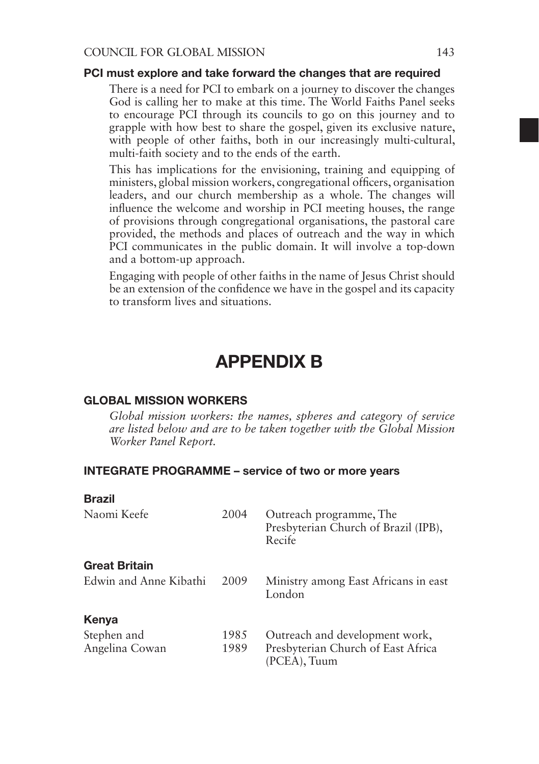#### PCI must explore and take forward the changes that are required

There is a need for PCI to embark on a journey to discover the changes God is calling her to make at this time. The World Faiths Panel seeks to encourage PCI through its councils to go on this journey and to grapple with how best to share the gospel, given its exclusive nature, with people of other faiths, both in our increasingly multi-cultural, multi-faith society and to the ends of the earth.

This has implications for the envisioning, training and equipping of ministers, global mission workers, congregational officers, organisation leaders, and our church membership as a whole. The changes will influence the welcome and worship in PCI meeting houses, the range of provisions through congregational organisations, the pastoral care provided, the methods and places of outreach and the way in which PCI communicates in the public domain. It will involve a top-down and a bottom-up approach.

Engaging with people of other faiths in the name of Jesus Christ should be an extension of the confidence we have in the gospel and its capacity to transform lives and situations.

### APPENDIX B

#### GLOBAL MISSION WORKERS

*Global mission workers: the names, spheres and category of service are listed below and are to be taken together with the Global Mission Worker Panel Report.*

### INTEGRATE PROGRAMME – service of two or more years

| <b>Brazil</b>          |      |                                                                           |
|------------------------|------|---------------------------------------------------------------------------|
| Naomi Keefe            | 2004 | Outreach programme, The<br>Presbyterian Church of Brazil (IPB),<br>Recife |
| <b>Great Britain</b>   |      |                                                                           |
| Edwin and Anne Kibathi | 2009 | Ministry among East Africans in east<br>London                            |
| Kenya                  |      |                                                                           |
| Stephen and            | 1985 | Outreach and development work,                                            |
| Angelina Cowan         | 1989 | Presbyterian Church of East Africa<br>(PCEA), Tuum                        |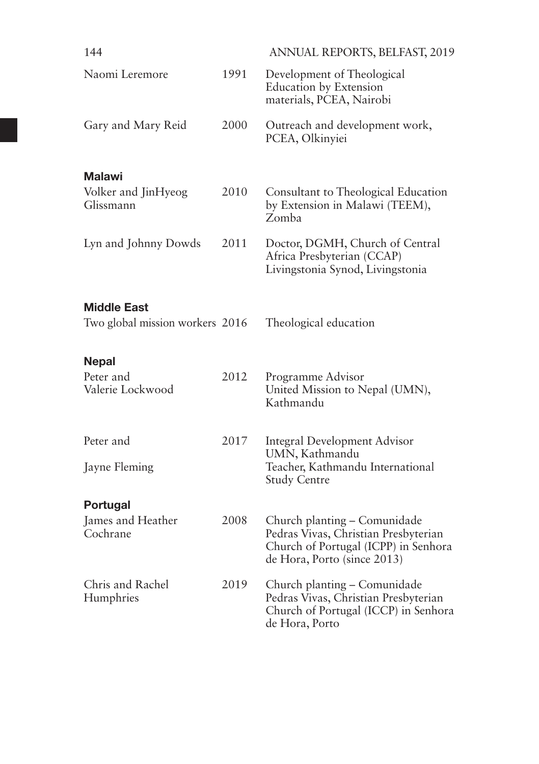| 144                              |      | ANNUAL REPORTS, BELFAST, 2019                                                                                                               |
|----------------------------------|------|---------------------------------------------------------------------------------------------------------------------------------------------|
| Naomi Leremore                   | 1991 | Development of Theological<br><b>Education by Extension</b><br>materials, PCEA, Nairobi                                                     |
| Gary and Mary Reid               | 2000 | Outreach and development work,<br>PCEA, Olkinyiei                                                                                           |
| <b>Malawi</b>                    |      |                                                                                                                                             |
| Volker and JinHyeog<br>Glissmann | 2010 | Consultant to Theological Education<br>by Extension in Malawi (TEEM),<br>Zomba                                                              |
| Lyn and Johnny Dowds             | 2011 | Doctor, DGMH, Church of Central<br>Africa Presbyterian (CCAP)<br>Livingstonia Synod, Livingstonia                                           |
| <b>Middle East</b>               |      |                                                                                                                                             |
| Two global mission workers 2016  |      | Theological education                                                                                                                       |
| <b>Nepal</b>                     |      |                                                                                                                                             |
| Peter and<br>Valerie Lockwood    | 2012 | Programme Advisor<br>United Mission to Nepal (UMN),<br>Kathmandu                                                                            |
| Peter and                        | 2017 | <b>Integral Development Advisor</b>                                                                                                         |
| Jayne Fleming                    |      | UMN, Kathmandu<br>Teacher, Kathmandu International<br><b>Study Centre</b>                                                                   |
| Portugal                         |      |                                                                                                                                             |
| James and Heather<br>Cochrane    | 2008 | Church planting - Comunidade<br>Pedras Vivas, Christian Presbyterian<br>Church of Portugal (ICPP) in Senhora<br>de Hora, Porto (since 2013) |
| Chris and Rachel<br>Humphries    | 2019 | Church planting - Comunidade<br>Pedras Vivas, Christian Presbyterian<br>Church of Portugal (ICCP) in Senhora<br>de Hora, Porto              |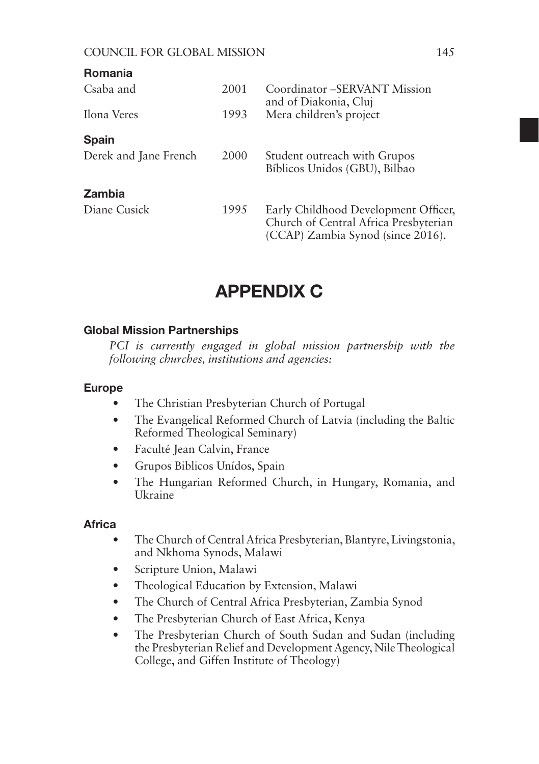| <b>Romania</b>        |      |                                                                                                                    |
|-----------------------|------|--------------------------------------------------------------------------------------------------------------------|
| Csaba and             | 2001 | Coordinator – SERVANT Mission<br>and of Diakonia, Cluj                                                             |
| Ilona Veres           | 1993 | Mera children's project                                                                                            |
| <b>Spain</b>          |      |                                                                                                                    |
| Derek and Jane French | 2000 | Student outreach with Grupos<br>Bíblicos Unidos (GBU), Bilbao                                                      |
| <b>Zambia</b>         |      |                                                                                                                    |
| Diane Cusick          | 1995 | Early Childhood Development Officer,<br>Church of Central Africa Presbyterian<br>(CCAP) Zambia Synod (since 2016). |

# APPENDIX C

### Global Mission Partnerships

*PCI is currently engaged in global mission partnership with the following churches, institutions and agencies:*

#### Europe

- The Christian Presbyterian Church of Portugal
- The Evangelical Reformed Church of Latvia (including the Baltic Reformed Theological Seminary)
- Faculté Jean Calvin, France
- Grupos Biblicos Unídos, Spain
- The Hungarian Reformed Church, in Hungary, Romania, and Ukraine

#### **Africa**

- The Church of Central Africa Presbyterian, Blantyre, Livingstonia, and Nkhoma Synods, Malawi
- Scripture Union, Malawi
- Theological Education by Extension, Malawi
- The Church of Central Africa Presbyterian, Zambia Synod
- The Presbyterian Church of East Africa, Kenya
- The Presbyterian Church of South Sudan and Sudan (including the Presbyterian Relief and Development Agency, Nile Theological College, and Giffen Institute of Theology)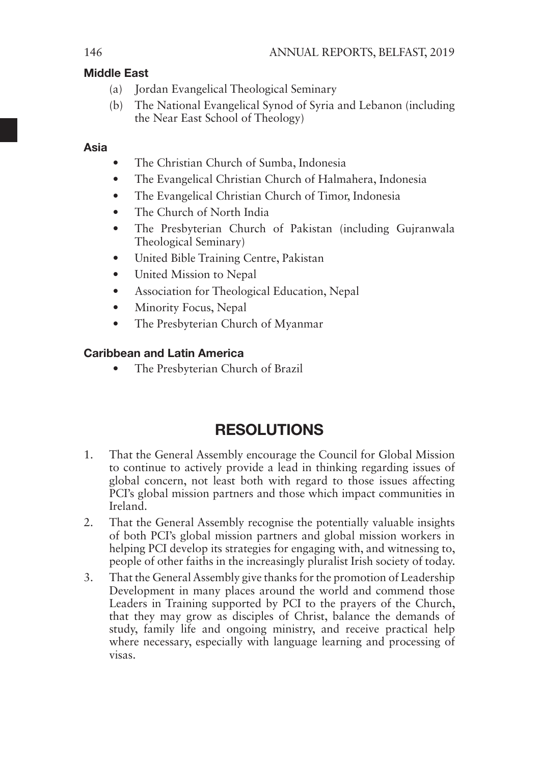### Middle East

- (a) Jordan Evangelical Theological Seminary
- (b) The National Evangelical Synod of Syria and Lebanon (including the Near East School of Theology)

### Asia

- The Christian Church of Sumba, Indonesia
- The Evangelical Christian Church of Halmahera, Indonesia
- The Evangelical Christian Church of Timor, Indonesia
- The Church of North India
- The Presbyterian Church of Pakistan (including Gujranwala Theological Seminary)
- United Bible Training Centre, Pakistan
- United Mission to Nepal
- Association for Theological Education, Nepal
- Minority Focus, Nepal
- The Presbyterian Church of Myanmar

### Caribbean and Latin America

• The Presbyterian Church of Brazil

# **RESOLUTIONS**

- 1. That the General Assembly encourage the Council for Global Mission to continue to actively provide a lead in thinking regarding issues of global concern, not least both with regard to those issues affecting PCI's global mission partners and those which impact communities in Ireland.
- 2. That the General Assembly recognise the potentially valuable insights of both PCI's global mission partners and global mission workers in helping PCI develop its strategies for engaging with, and witnessing to, people of other faiths in the increasingly pluralist Irish society of today.
- 3. That the General Assembly give thanks for the promotion of Leadership Development in many places around the world and commend those Leaders in Training supported by PCI to the prayers of the Church, that they may grow as disciples of Christ, balance the demands of study, family life and ongoing ministry, and receive practical help where necessary, especially with language learning and processing of visas.